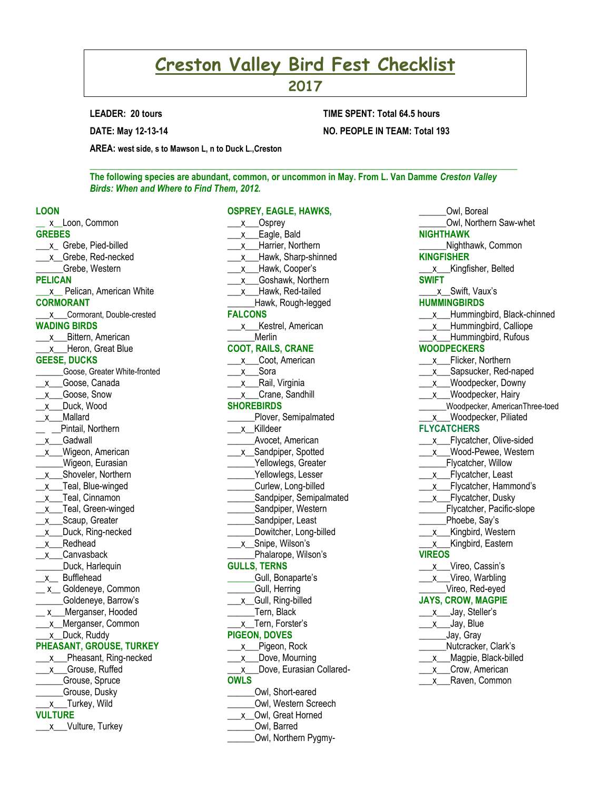# **Creston Valley Bird Fest Checklist**

**2017**

**LEADER: 20 tours**

**DATE: May 12-13-14**

## **TIME SPENT: Total 64.5 hours NO. PEOPLE IN TEAM: Total 193**

**AREA: west side, s to Mawson L, n to Duck L.,Creston**

**The following species are abundant, common, or uncommon in May. From L. Van Damme** *Creston Valley Birds: When and Where to Find Them, 2012.*

**OSPREY, EAGLE, HAWKS,** 

\_\_\_\_\_\_\_\_\_\_\_\_\_\_\_\_\_\_\_\_\_\_\_\_\_\_\_\_\_\_\_\_\_\_\_\_\_\_\_\_\_\_\_\_\_\_\_\_\_\_\_\_\_\_\_\_\_\_\_\_\_\_\_\_\_\_\_\_\_\_\_\_\_\_\_\_\_\_\_\_\_\_\_\_\_\_\_\_\_\_\_\_\_\_

#### **LOON**

**\_\_** x**\_\_**Loon, Common **GREBES** \_\_\_x\_ Grebe, Pied-billed \_\_\_x\_\_Grebe, Red-necked \_\_\_\_\_\_Grebe, Western **PELICAN \_\_\_**x**\_\_** Pelican, American White **CORMORANT** \_\_\_x\_\_\_Cormorant, Double-crested **WADING BIRDS \_\_\_**x**\_\_**\_Bittern, American \_x\_\_Heron, Great Blue **GEESE, DUCKS** \_\_\_\_\_\_Goose, Greater White-fronted x Goose, Canada \_x\_\_\_Goose, Snow \_\_x\_\_\_Duck, Wood \_\_x\_\_\_Mallard \_\_ \_\_Pintail, Northern \_\_x\_\_\_Gadwall x Wigeon, American \_\_\_\_\_\_Wigeon, Eurasian \_x\_\_Shoveler, Northern \_\_x\_\_\_Teal, Blue-winged \_x\_\_Teal, Cinnamon \_\_x\_\_\_Teal, Green-winged \_x\_\_Scaup, Greater x Duck, Ring-necked \_\_x\_\_\_Redhead \_x\_\_Canvasback \_\_\_\_\_\_Duck, Harlequin x\_ Bufflehead \_ x\_ Goldeneye, Common \_\_\_\_\_\_Goldeneye, Barrow's \_\_ x\_\_Merganser, Hooded \_\_\_x\_\_Merganser, Common x Duck, Ruddy **PHEASANT, GROUSE, TURKEY** \_\_\_x\_\_\_Pheasant, Ring-necked \_x\_\_Grouse, Ruffed \_\_\_\_\_\_Grouse, Spruce \_\_\_\_\_\_Grouse, Dusky \_\_\_x\_\_\_Turkey, Wild

### **VULTURE**

\_\_\_x\_\_Vulture, Turkey

|                | . . , <b></b><br>-9         |
|----------------|-----------------------------|
|                | __x__Osprey                 |
|                | x ___ Eagle, Bald           |
|                | x__Harrier, Northern        |
|                | x___Hawk, Sharp-shinned     |
|                | x__Hawk, Cooper's           |
| X              | _Goshawk, Northern          |
| X              | _Hawk, Red-tailed           |
|                | Hawk, Rough-legged          |
| <b>FALCONS</b> |                             |
|                | x Kestrel, American         |
|                | Merlin                      |
|                | <b>COOT, RAILS, CRANE</b>   |
|                | x Coot, American            |
|                | x <sub>__</sub> Sora        |
|                |                             |
|                | x Rail, Virginia            |
|                | x Crane, Sandhill           |
|                | <b>SHOREBIRDS</b>           |
|                | Plover, Semipalmated        |
| X.             | Killdeer                    |
|                | Avocet, American            |
|                | x _Sandpiper, Spotted       |
|                | Yellowlegs, Greater         |
|                | _Yellowlegs, Lesser         |
|                | Curlew, Long-billed         |
|                | Sandpiper, Semipalmated     |
|                | Sandpiper, Western          |
|                | Sandpiper, Least            |
|                | Dowitcher, Long-billed      |
| Χ              | Snipe, Wilson's             |
|                | Phalarope, Wilson's         |
|                | <b>GULLS, TERNS</b>         |
|                | Gull, Bonaparte's           |
|                | Gull, Herring               |
| X.             | Gull, Ring-billed           |
|                | Tern, Black                 |
|                | x_Tern, Forster's           |
|                | <b>PIGEON, DOVES</b>        |
|                | x Pigeon, Rock              |
| X.             | _Dove, Mourning             |
|                | x__Dove, Eurasian Collared- |
| <b>OWLS</b>    |                             |
|                | Owl, Short-eared            |
|                | Owl, Western Screech        |
| x              | Owl, Great Horned           |
|                | Owl, Barred                 |
|                | Owl, Northern Pygmy-        |
|                |                             |

|                    | Owl, Boreal                                                                |
|--------------------|----------------------------------------------------------------------------|
|                    | Owl, Northern Saw-whet                                                     |
| <b>NIGHTHAWK</b>   |                                                                            |
|                    | Nighthawk, Common                                                          |
| <b>KINGFISHER</b>  |                                                                            |
|                    | _x___Kingfisher, Belted                                                    |
| <b>SWIFT</b>       |                                                                            |
|                    | x Swift, Vaux's                                                            |
|                    | <b>HUMMINGBIRDS</b>                                                        |
| X.                 | _Hummingbird, Black-chinned                                                |
| x                  | Hummingbird, Calliope                                                      |
| <b>X</b>           | Hummingbird, Rufous                                                        |
|                    | <b>WOODPECKERS</b>                                                         |
| $\mathsf{x}$       | Flicker, Northern                                                          |
| X                  | Sapsucker, Red-naped                                                       |
| X                  | _Woodpecker, Downy                                                         |
| x                  | Woodpecker, Hairy                                                          |
|                    | Woodpecker, AmericanThree-toed                                             |
|                    | x Woodpecker, Piliated                                                     |
| <b>FLYCATCHERS</b> |                                                                            |
| $\mathsf{x}$       | _Flycatcher, Olive-sided                                                   |
| X                  | Wood-Pewee, Western                                                        |
|                    | Flycatcher, Willow                                                         |
| X                  | Flycatcher, Least                                                          |
| $\mathsf{x}$       | Flycatcher, Hammond's                                                      |
| x                  | Flycatcher, Dusky                                                          |
|                    | Flycatcher, Pacific-slope                                                  |
|                    | Phoebe, Say's                                                              |
| x                  | Kingbird, Western                                                          |
| x                  | Kingbird, Eastern                                                          |
| <b>VIREOS</b>      |                                                                            |
| x                  | Vireo, Cassin's                                                            |
| x                  | Vireo, Warbling                                                            |
|                    | Vireo, Red-eyed                                                            |
|                    | <b>JAYS, CROW, MAGPIE</b>                                                  |
|                    | x___Jay, Steller's                                                         |
| X                  |                                                                            |
|                    | Jay, Gray                                                                  |
|                    |                                                                            |
| x                  |                                                                            |
| $\mathsf{X}$       |                                                                            |
| X                  | Raven, Common                                                              |
|                    | Jay, Blue<br>Nutcracker, Clark's<br>Magpie, Black-billed<br>Crow, American |